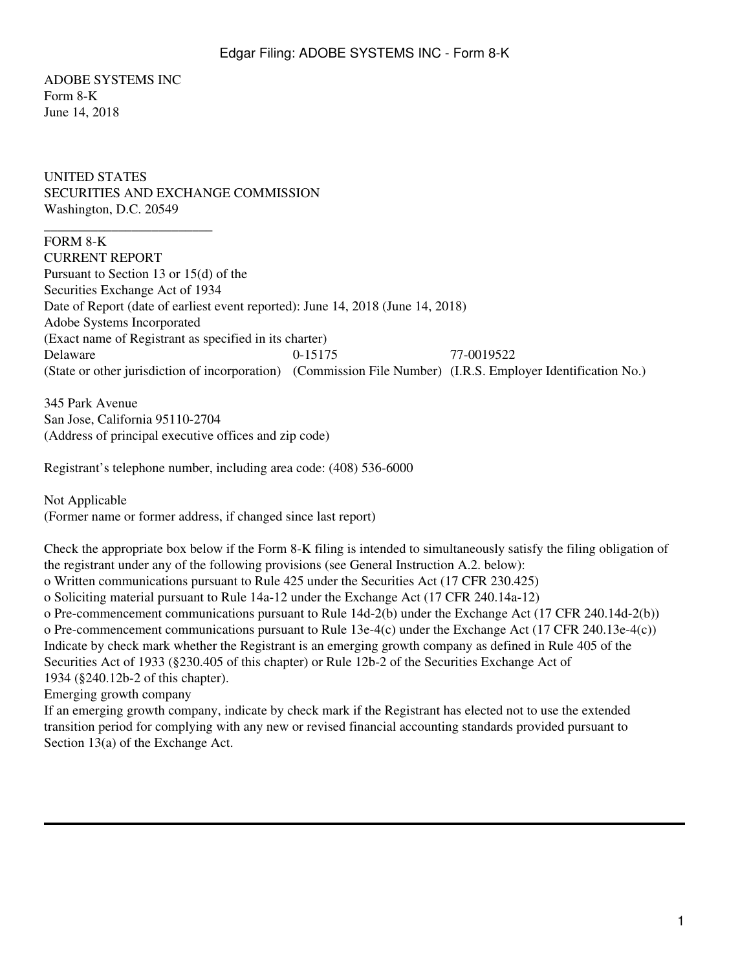ADOBE SYSTEMS INC Form 8-K June 14, 2018

\_\_\_\_\_\_\_\_\_\_\_\_\_\_\_\_\_\_\_\_\_\_\_\_\_

UNITED STATES SECURITIES AND EXCHANGE COMMISSION Washington, D.C. 20549

FORM 8-K CURRENT REPORT Pursuant to Section 13 or 15(d) of the Securities Exchange Act of 1934 Date of Report (date of earliest event reported): June 14, 2018 (June 14, 2018) Adobe Systems Incorporated (Exact name of Registrant as specified in its charter) Delaware 0-15175 77-0019522 (State or other jurisdiction of incorporation) (Commission File Number) (I.R.S. Employer Identification No.)

345 Park Avenue San Jose, California 95110-2704 (Address of principal executive offices and zip code)

Registrant's telephone number, including area code: (408) 536-6000

Not Applicable (Former name or former address, if changed since last report)

Check the appropriate box below if the Form 8-K filing is intended to simultaneously satisfy the filing obligation of the registrant under any of the following provisions (see General Instruction A.2. below): o Written communications pursuant to Rule 425 under the Securities Act (17 CFR 230.425) o Soliciting material pursuant to Rule 14a-12 under the Exchange Act (17 CFR 240.14a-12) o Pre-commencement communications pursuant to Rule 14d-2(b) under the Exchange Act (17 CFR 240.14d-2(b)) o Pre-commencement communications pursuant to Rule 13e-4(c) under the Exchange Act (17 CFR 240.13e-4(c)) Indicate by check mark whether the Registrant is an emerging growth company as defined in Rule 405 of the Securities Act of 1933 (§230.405 of this chapter) or Rule 12b-2 of the Securities Exchange Act of 1934 (§240.12b-2 of this chapter).

Emerging growth company

If an emerging growth company, indicate by check mark if the Registrant has elected not to use the extended transition period for complying with any new or revised financial accounting standards provided pursuant to Section  $13(a)$  of the Exchange Act.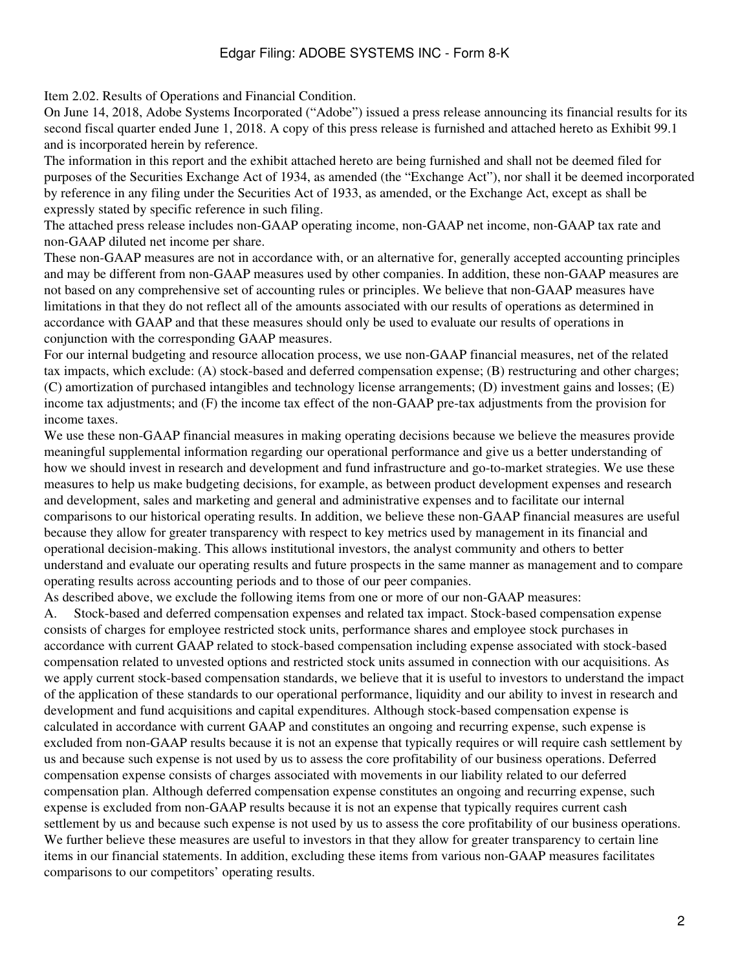## Edgar Filing: ADOBE SYSTEMS INC - Form 8-K

Item 2.02. Results of Operations and Financial Condition.

On June 14, 2018, Adobe Systems Incorporated ("Adobe") issued a press release announcing its financial results for its second fiscal quarter ended June 1, 2018. A copy of this press release is furnished and attached hereto as Exhibit 99.1 and is incorporated herein by reference.

The information in this report and the exhibit attached hereto are being furnished and shall not be deemed filed for purposes of the Securities Exchange Act of 1934, as amended (the "Exchange Act"), nor shall it be deemed incorporated by reference in any filing under the Securities Act of 1933, as amended, or the Exchange Act, except as shall be expressly stated by specific reference in such filing.

The attached press release includes non-GAAP operating income, non-GAAP net income, non-GAAP tax rate and non-GAAP diluted net income per share.

These non-GAAP measures are not in accordance with, or an alternative for, generally accepted accounting principles and may be different from non-GAAP measures used by other companies. In addition, these non-GAAP measures are not based on any comprehensive set of accounting rules or principles. We believe that non-GAAP measures have limitations in that they do not reflect all of the amounts associated with our results of operations as determined in accordance with GAAP and that these measures should only be used to evaluate our results of operations in conjunction with the corresponding GAAP measures.

For our internal budgeting and resource allocation process, we use non-GAAP financial measures, net of the related tax impacts, which exclude: (A) stock-based and deferred compensation expense; (B) restructuring and other charges; (C) amortization of purchased intangibles and technology license arrangements; (D) investment gains and losses; (E) income tax adjustments; and (F) the income tax effect of the non-GAAP pre-tax adjustments from the provision for income taxes.

We use these non-GAAP financial measures in making operating decisions because we believe the measures provide meaningful supplemental information regarding our operational performance and give us a better understanding of how we should invest in research and development and fund infrastructure and go-to-market strategies. We use these measures to help us make budgeting decisions, for example, as between product development expenses and research and development, sales and marketing and general and administrative expenses and to facilitate our internal comparisons to our historical operating results. In addition, we believe these non-GAAP financial measures are useful because they allow for greater transparency with respect to key metrics used by management in its financial and operational decision-making. This allows institutional investors, the analyst community and others to better understand and evaluate our operating results and future prospects in the same manner as management and to compare operating results across accounting periods and to those of our peer companies.

As described above, we exclude the following items from one or more of our non-GAAP measures:

A. Stock-based and deferred compensation expenses and related tax impact. Stock-based compensation expense consists of charges for employee restricted stock units, performance shares and employee stock purchases in accordance with current GAAP related to stock-based compensation including expense associated with stock-based compensation related to unvested options and restricted stock units assumed in connection with our acquisitions. As we apply current stock-based compensation standards, we believe that it is useful to investors to understand the impact of the application of these standards to our operational performance, liquidity and our ability to invest in research and development and fund acquisitions and capital expenditures. Although stock-based compensation expense is calculated in accordance with current GAAP and constitutes an ongoing and recurring expense, such expense is excluded from non-GAAP results because it is not an expense that typically requires or will require cash settlement by us and because such expense is not used by us to assess the core profitability of our business operations. Deferred compensation expense consists of charges associated with movements in our liability related to our deferred compensation plan. Although deferred compensation expense constitutes an ongoing and recurring expense, such expense is excluded from non-GAAP results because it is not an expense that typically requires current cash settlement by us and because such expense is not used by us to assess the core profitability of our business operations. We further believe these measures are useful to investors in that they allow for greater transparency to certain line items in our financial statements. In addition, excluding these items from various non-GAAP measures facilitates comparisons to our competitors' operating results.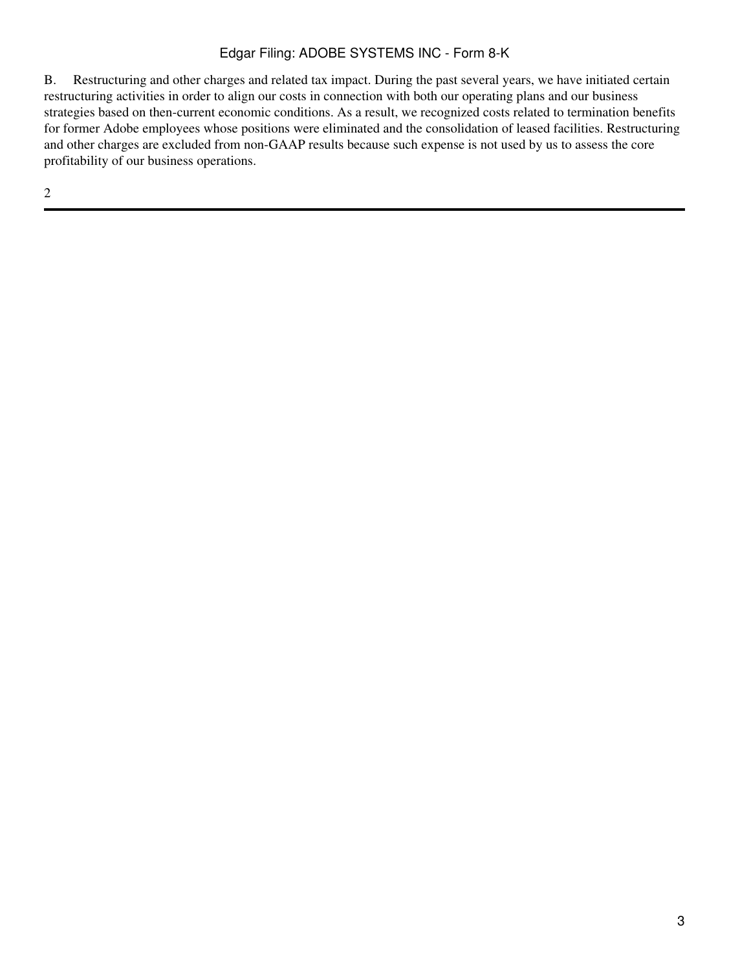## Edgar Filing: ADOBE SYSTEMS INC - Form 8-K

B. Restructuring and other charges and related tax impact. During the past several years, we have initiated certain restructuring activities in order to align our costs in connection with both our operating plans and our business strategies based on then-current economic conditions. As a result, we recognized costs related to termination benefits for former Adobe employees whose positions were eliminated and the consolidation of leased facilities. Restructuring and other charges are excluded from non-GAAP results because such expense is not used by us to assess the core profitability of our business operations.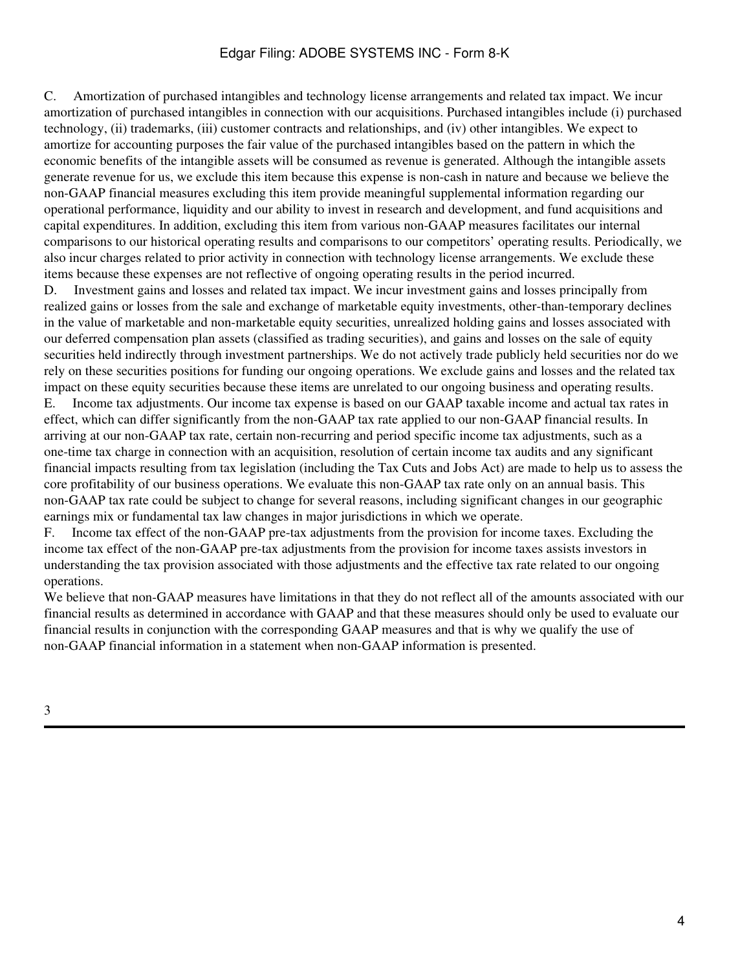## Edgar Filing: ADOBE SYSTEMS INC - Form 8-K

C. Amortization of purchased intangibles and technology license arrangements and related tax impact. We incur amortization of purchased intangibles in connection with our acquisitions. Purchased intangibles include (i) purchased technology, (ii) trademarks, (iii) customer contracts and relationships, and (iv) other intangibles. We expect to amortize for accounting purposes the fair value of the purchased intangibles based on the pattern in which the economic benefits of the intangible assets will be consumed as revenue is generated. Although the intangible assets generate revenue for us, we exclude this item because this expense is non-cash in nature and because we believe the non-GAAP financial measures excluding this item provide meaningful supplemental information regarding our operational performance, liquidity and our ability to invest in research and development, and fund acquisitions and capital expenditures. In addition, excluding this item from various non-GAAP measures facilitates our internal comparisons to our historical operating results and comparisons to our competitors' operating results. Periodically, we also incur charges related to prior activity in connection with technology license arrangements. We exclude these items because these expenses are not reflective of ongoing operating results in the period incurred.

D. Investment gains and losses and related tax impact. We incur investment gains and losses principally from realized gains or losses from the sale and exchange of marketable equity investments, other-than-temporary declines in the value of marketable and non-marketable equity securities, unrealized holding gains and losses associated with our deferred compensation plan assets (classified as trading securities), and gains and losses on the sale of equity securities held indirectly through investment partnerships. We do not actively trade publicly held securities nor do we rely on these securities positions for funding our ongoing operations. We exclude gains and losses and the related tax impact on these equity securities because these items are unrelated to our ongoing business and operating results. E. Income tax adjustments. Our income tax expense is based on our GAAP taxable income and actual tax rates in effect, which can differ significantly from the non-GAAP tax rate applied to our non-GAAP financial results. In arriving at our non-GAAP tax rate, certain non-recurring and period specific income tax adjustments, such as a one-time tax charge in connection with an acquisition, resolution of certain income tax audits and any significant financial impacts resulting from tax legislation (including the Tax Cuts and Jobs Act) are made to help us to assess the core profitability of our business operations. We evaluate this non-GAAP tax rate only on an annual basis. This non-GAAP tax rate could be subject to change for several reasons, including significant changes in our geographic earnings mix or fundamental tax law changes in major jurisdictions in which we operate.

F. Income tax effect of the non-GAAP pre-tax adjustments from the provision for income taxes. Excluding the income tax effect of the non-GAAP pre-tax adjustments from the provision for income taxes assists investors in understanding the tax provision associated with those adjustments and the effective tax rate related to our ongoing operations.

We believe that non-GAAP measures have limitations in that they do not reflect all of the amounts associated with our financial results as determined in accordance with GAAP and that these measures should only be used to evaluate our financial results in conjunction with the corresponding GAAP measures and that is why we qualify the use of non-GAAP financial information in a statement when non-GAAP information is presented.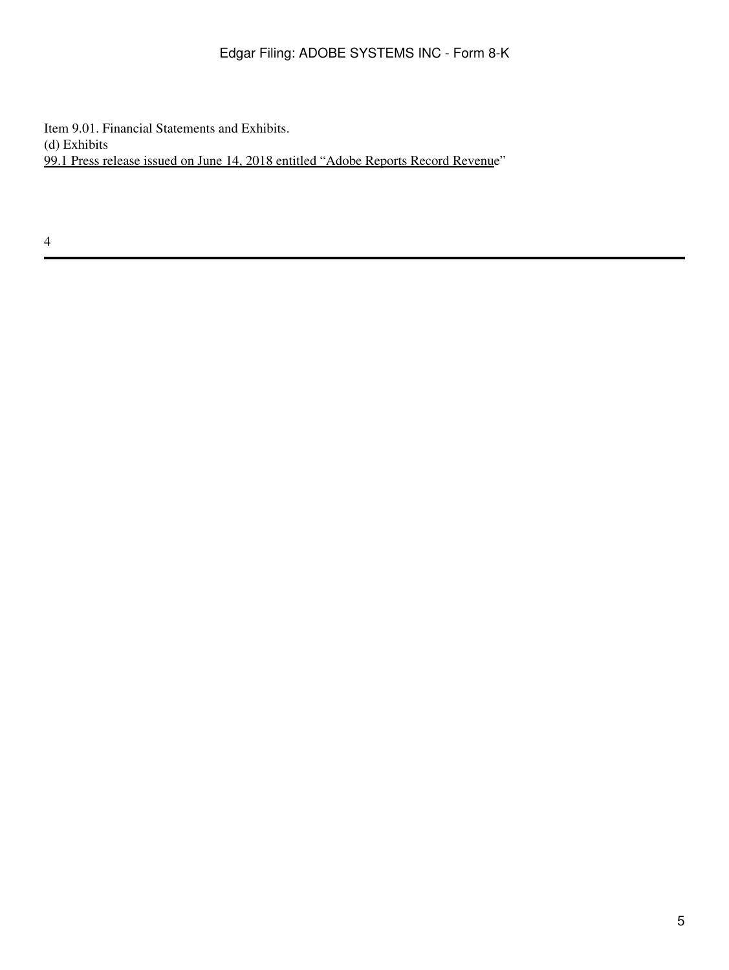Item 9.01. Financial Statements and Exhibits. (d) Exhibits 99.1 Press release issued on June 14, 2018 entitled "Adobe Reports Record Revenue"